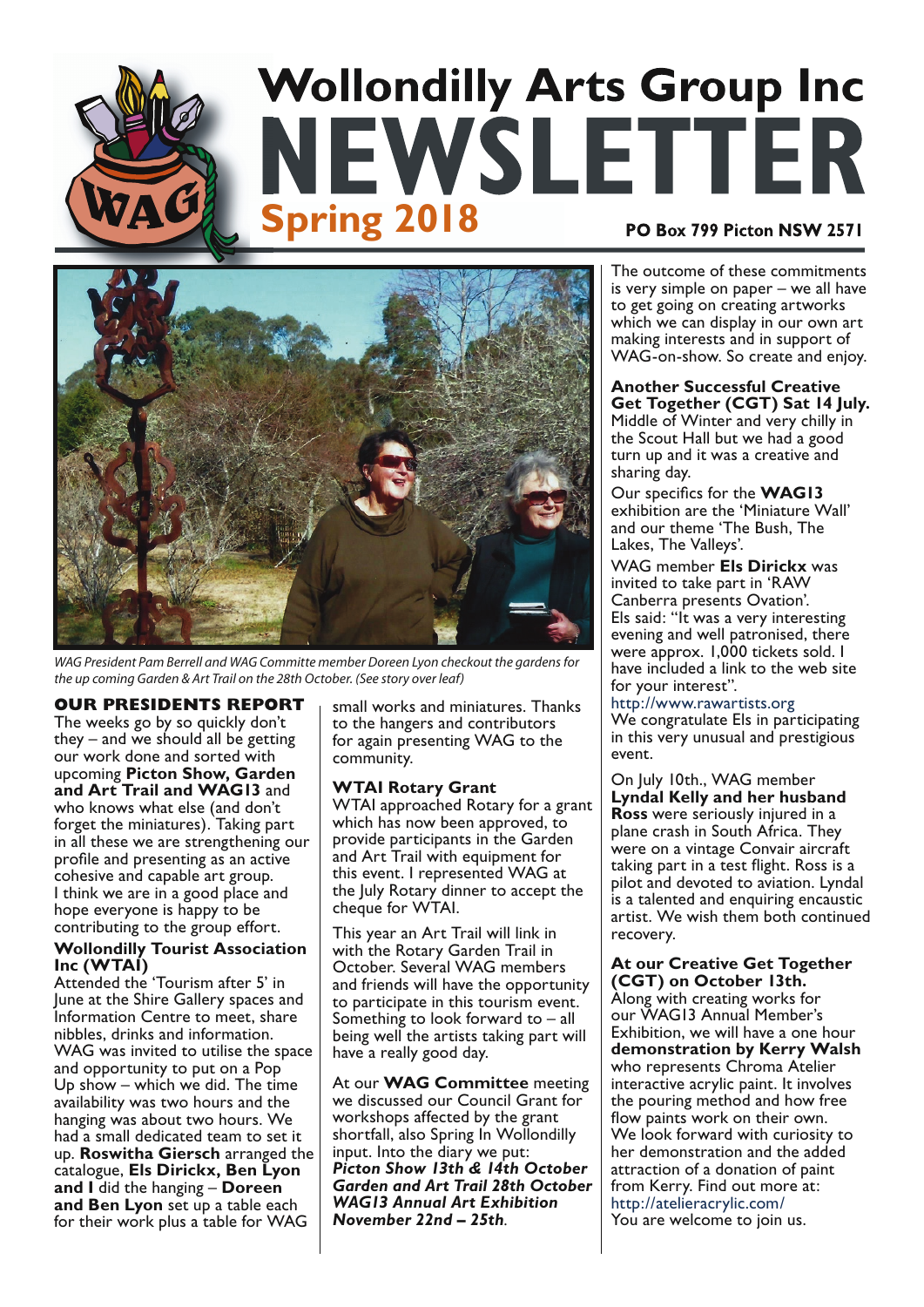# **Wollondilly Arts Group Inc EWSLETTER Spring 2018** PO Box 799 Picton NSW 2571



WAG President Pam Berrell and WAG Committe member Doreen Lyon checkout the gardens for the up coming Garden & Art Trail on the 28th October. (See story over leaf)

#### **OUR PRESIDENTS REPORT**

The weeks go by so quickly don't they  $-$  and we should all be getting our work done and sorted with upcoming Picton Show, Garden and Art Trail and WAG13 and who knows what else (and don't forget the miniatures). Taking part in all these we are strengthening our profile and presenting as an active cohesive and capable art group. I think we are in a good place and hope everyone is happy to be contributing to the group effort.

#### **Wollondilly Tourist Association** Inc (WTAI)

Attended the 'Tourism after 5' in June at the Shire Gallery spaces and Information Centre to meet, share nibbles, drinks and information. WAG was invited to utilise the space and opportunity to put on a Pop Up show - which we did. The time availability was two hours and the hanging was about two hours. We had a small dedicated team to set it up. Roswitha Giersch arranged the catalogue, Els Dirickx, Ben Lyon and I did the hanging - Doreen and Ben Lyon set up a table each for their work plus a table for WAG

small works and miniatures. Thanks to the hangers and contributors for again presenting WAG to the community.

#### **WTAI Rotary Grant**

WTAI approached Rotary for a grant which has now been approved, to provide participants in the Garden and Art Trail with equipment for this event. I represented WAG at the July Rotary dinner to accept the cheque for WTAI.

This year an Art Trail will link in with the Rotary Garden Trail in October. Several WAG members and friends will have the opportunity to participate in this tourism event. Something to look forward to  $-$  all being well the artists taking part will have a really good day.

At our **WAG Committee** meeting we discussed our Council Grant for workshops affected by the grant shortfall, also Spring In Wollondilly input. Into the diary we put: Picton Show 13th & 14th October **Garden and Art Trail 28th October WAGI3 Annual Art Exhibition** November 22nd - 25th.

The outcome of these commitments is very simple on paper - we all have to get going on creating artworks which we can display in our own art making interests and in support of WAG-on-show. So create and enjoy.

#### **Another Successful Creative** Get Together (CGT) Sat 14 July. Middle of Winter and very chilly in the Scout Hall but we had a good turn up and it was a creative and sharing day.

Our specifics for the WAG13 exhibition are the 'Miniature Wall' and our theme 'The Bush, The Lakes. The Valleys'.

WAG member Els Dirickx was invited to take part in 'RAW Canberra presents Ovation'. Els said: "It was a very interesting evening and well patronised, there were approx. 1,000 tickets sold. I have included a link to the web site for your interest".

http://www.rawartists.org We congratulate Els in participating in this very unusual and prestigious event.

On July 10th., WAG member Lyndal Kelly and her husband Ross were seriously injured in a plane crash in South Africa. They were on a vintage Convair aircraft taking part in a test flight. Ross is a pilot and devoted to aviation. Lyndal is a talented and enquiring encaustic artist. We wish them both continued recovery.

#### **At our Creative Get Together** CGT) on October 13th.

Along with creating works for our WAG13 Annual Member's Exhibition, we will have a one hour demonstration by Kerry Walsh who represents Chroma Atelier interactive acrylic paint. It involves the pouring method and how free flow paints work on their own. We look forward with curiosity to her demonstration and the added attraction of a donation of paint from Kerry. Find out more at: http://atelieracrylic.com/ You are welcome to join us.